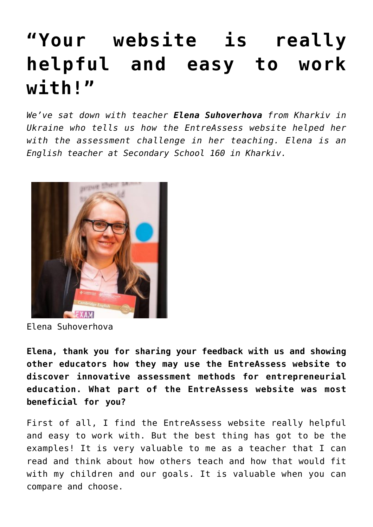## **["Your website is really](https://entreassess.com/2018/10/24/your-website-is-really-helpful-and-easy-to-work-with/) [helpful and easy to work](https://entreassess.com/2018/10/24/your-website-is-really-helpful-and-easy-to-work-with/) [with!"](https://entreassess.com/2018/10/24/your-website-is-really-helpful-and-easy-to-work-with/)**

*We've sat down with teacher Elena Suhoverhova from Kharkiv in Ukraine who tells us how the EntreAssess website helped her with the assessment challenge in her teaching. Elena is an English teacher at Secondary School 160 in Kharkiv.* 



Elena Suhoverhova

**Elena, thank you for sharing your feedback with us and showing other educators how they may use the EntreAssess website to discover innovative assessment methods for entrepreneurial education. What part of the EntreAssess website was most beneficial for you?** 

First of all, I find the EntreAssess website really helpful and easy to work with. But the best thing has got to be the examples! It is very valuable to me as a teacher that I can read and think about how others teach and how that would fit with my children and our goals. It is valuable when you can compare and choose.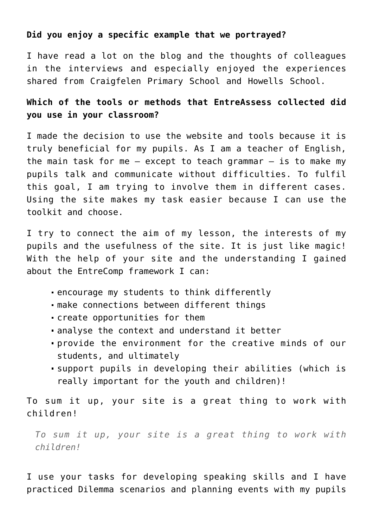## **Did you enjoy a specific example that we portrayed?**

I have read a lot on the blog and the thoughts of colleagues in the interviews and especially enjoyed the experiences shared from [Craigfelen Primary School](http://entreassess.com/?s=craigfelen) and [Howells School.](http://entreassess.com/2018/05/29/howells-school-cardiff/)

## **Which of the tools or methods that EntreAssess collected did you use in your classroom?**

I made the decision to use the website and tools because it is truly beneficial for my pupils. As I am a teacher of English, the main task for me  $-$  except to teach grammar  $-$  is to make my pupils talk and communicate without difficulties. To fulfil this goal, I am trying to involve them in different cases. Using the site makes my task easier because I can use the toolkit and choose.

I try to connect the aim of my lesson, the interests of my pupils and the usefulness of the site. It is just like magic! With the help of your site and the understanding I gained about the [EntreComp framework](http://entreassess.com/2017/04/07/entrecomp-from-a-reference-framework-to-educational-practice-in-entrepreneurial-learning/) I can:

- encourage my students to think differently
- make connections between different things
- create opportunities for them
- analyse the context and understand it better
- provide the environment for the creative minds of our students, and ultimately
- support pupils in developing their abilities (which is really important for the youth and children)!

To sum it up, your site is a great thing to work with children!

*To sum it up, your site is a great thing to work with children!*

I use your tasks for developing speaking skills and I have practiced Dilemma scenarios and planning events with my pupils